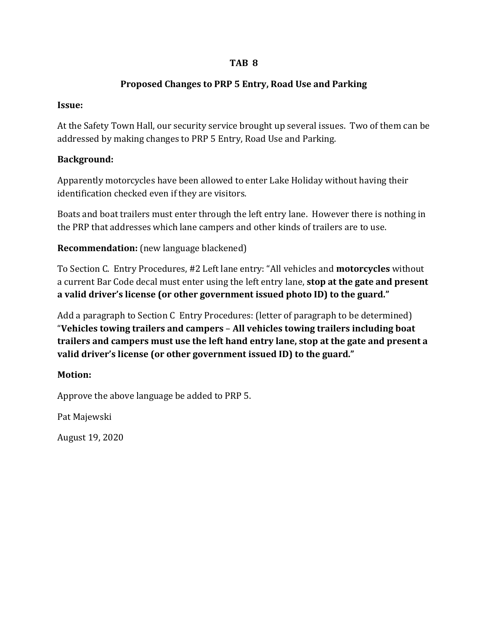### **TAB 8**

# **Proposed Changes to PRP 5 Entry, Road Use and Parking**

# **Issue:**

At the Safety Town Hall, our security service brought up several issues. Two of them can be addressed by making changes to PRP 5 Entry, Road Use and Parking.

# **Background:**

Apparently motorcycles have been allowed to enter Lake Holiday without having their identification checked even if they are visitors.

Boats and boat trailers must enter through the left entry lane. However there is nothing in the PRP that addresses which lane campers and other kinds of trailers are to use.

**Recommendation:** (new language blackened)

To Section C. Entry Procedures, #2 Left lane entry: "All vehicles and **motorcycles** without a current Bar Code decal must enter using the left entry lane, **stop at the gate and present a valid driver's license (or other government issued photo ID) to the guard."**

Add a paragraph to Section C Entry Procedures: (letter of paragraph to be determined) "**Vehicles towing trailers and campers** – **All vehicles towing trailers including boat trailers and campers must use the left hand entry lane, stop at the gate and present a valid driver's license (or other government issued ID) to the guard."**

# **Motion:**

Approve the above language be added to PRP 5.

Pat Majewski

August 19, 2020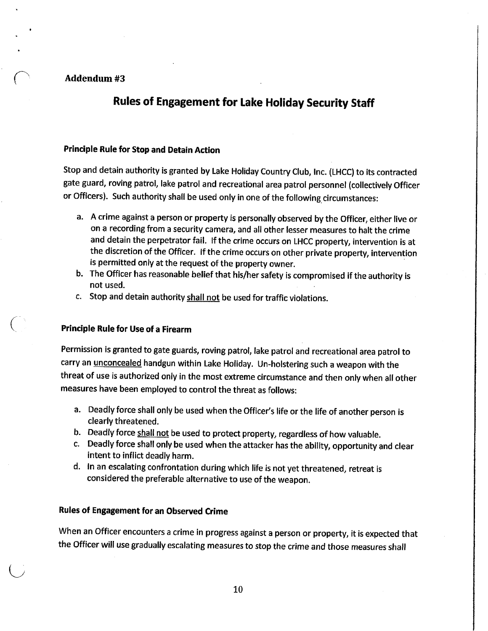#### Addendum #3

# **Rules of Engagement for Lake Holiday Security Staff**

#### Principle Rule for Stop and Detain Action

Stop and detain authority is granted by Lake Holiday Country Club, Inc. (LHCC) to its contracted gate guard, roving patrol, lake patrol and recreational area patrol personnel (collectively Officer or Officers). Such authority shall be used only in one of the following circumstances:

- a. A crime against a person or property is personally observed by the Officer, either live or on a recording from a security camera, and all other lesser measures to halt the crime and detain the perpetrator fail. If the crime occurs on LHCC property, intervention is at the discretion of the Officer. If the crime occurs on other private property, intervention is permitted only at the request of the property owner.
- b. The Officer has reasonable belief that his/her safety is compromised if the authority is not used.
- c. Stop and detain authority shall not be used for traffic violations.

#### **Principle Rule for Use of a Firearm**

Permission is granted to gate guards, roving patrol, lake patrol and recreational area patrol to carry an *unconcealed* handgun within Lake Holiday. Un-holstering such a weapon with the threat of use is authorized only in the most extreme circumstance and then only when all other measures have been employed to control the threat as follows:

- a. Deadly force shall only be used when the Officer's life or the life of another person is clearly threatened.
- b. Deadly force shall not be used to protect property, regardless of how valuable.
- c. Deadly force shall only be used when the attacker has the ability, opportunity and clear intent to inflict deadly harm.
- d. In an escalating confrontation during which life is not yet threatened, retreat is considered the preferable alternative to use of the weapon.

### **Rules of Engagement for an Observed Crime**

When an Officer encounters a crime in progress against a person or property, it is expected that the Officer will use gradually escalating measures to stop the crime and those measures shall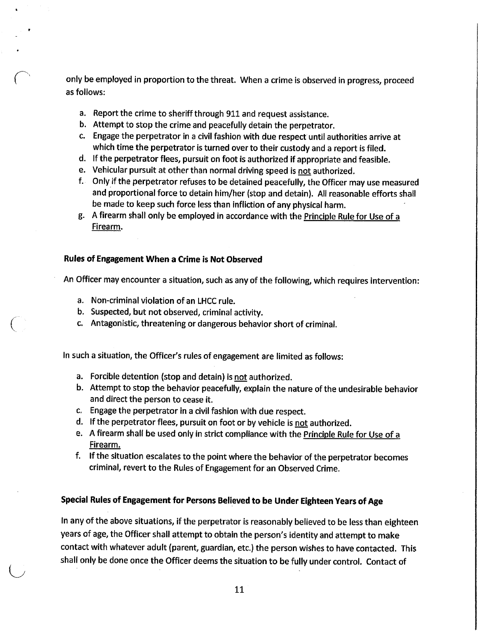only be employed in proportion to the threat. When a crime is observed in progress, proceed as follows:

- a. Report the crime to sheriff through 911 and request assistance.
- b. Attempt to stop the crime and peacefully detain the perpetrator.
- c. Engage the perpetrator in a civil fashion with due respect until authorities arrive at which time the perpetrator is turned over to their custody and a report is filed.
- d. If the perpetrator flees, pursuit on foot is authorized if appropriate and feasible.
- e. Vehicular pursuit at other than normal driving speed is not authorized.
- f. Only if the perpetrator refuses to be detained peacefully, the Officer may use measured and proportional force to detain him/her (stop and detain). All reasonable efforts shall be made to keep such force less than infliction of any physical harm.
- g. A firearm shall only be employed in accordance with the Principle Rule for Use of a Firearm.

### Rules of Engagement When a Crime is Not Observed

An Officer may encounter a situation, such as any of the following, which requires intervention:

- a. Non-criminal violation of an LHCC rule.
- b. Suspected, but not observed, criminal activity.
- c. Antagonistic, threatening or dangerous behavior short of criminal.

In such a situation, the Officer's rules of engagement are limited as follows:

- a. Forcible detention (stop and detain) is not authorized.
- b. Attempt to stop the behavior peacefully, explain the nature of the undesirable behavior and direct the person to cease it.
- c. Engage the perpetrator in a civil fashion with due respect.
- d. If the perpetrator flees, pursuit on foot or by vehicle is not authorized.
- e. A firearm shall be used only in strict compliance with the Principle Rule for Use of a Firearm.
- f. If the situation escalates to the point where the behavior of the perpetrator becomes criminal, revert to the Rules of Engagement for an Observed Crime.

### Special Rules of Engagement for Persons Believed to be Under Eighteen Years of Age

In any of the above situations, if the perpetrator is reasonably believed to be less than eighteen years of age, the Officer shall attempt to obtain the person's identity and attempt to make contact with whatever adult (parent, guardian, etc.) the person wishes to have contacted. This shall only be done once the Officer deems the situation to be fully under control. Contact of